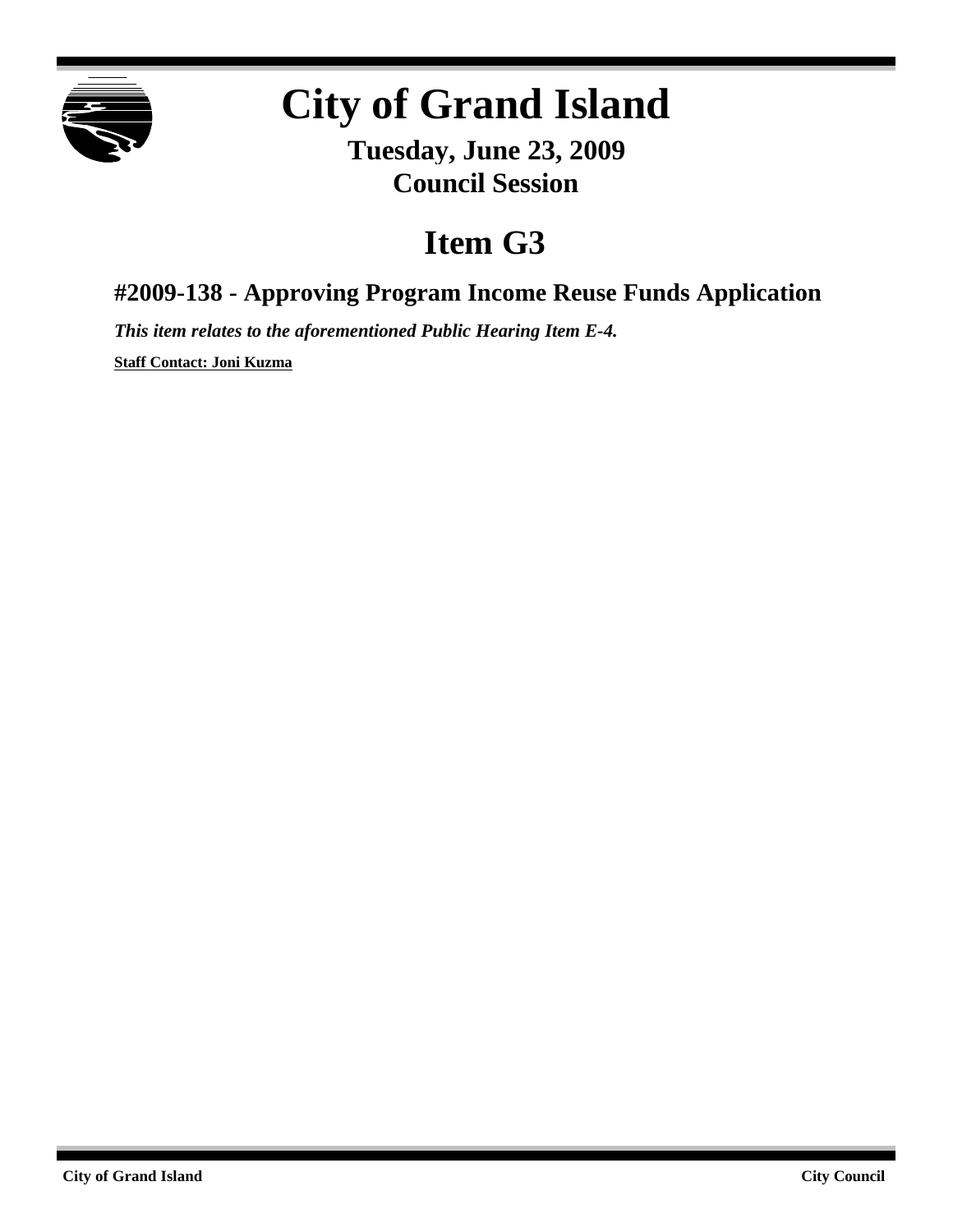

## **City of Grand Island**

**Tuesday, June 23, 2009 Council Session**

## **Item G3**

**#2009-138 - Approving Program Income Reuse Funds Application**

*This item relates to the aforementioned Public Hearing Item E-4.*

**Staff Contact: Joni Kuzma**